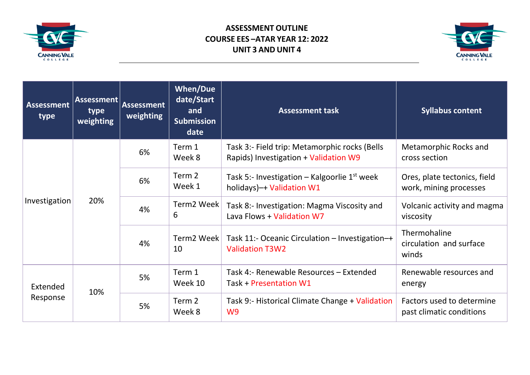

## **ASSESSMENT OUTLINE COURSE EES –ATAR YEAR 12: 2022 UNIT 3 AND UNIT 4**



| <b>Assessment</b><br>type | Assessment<br>type<br>weighting | <b>Assessment</b><br>weighting | <b>When/Due</b><br>date/Start<br>and<br><b>Submission</b><br>date | <b>Assessment task</b>                                                                 | <b>Syllabus content</b>                                |
|---------------------------|---------------------------------|--------------------------------|-------------------------------------------------------------------|----------------------------------------------------------------------------------------|--------------------------------------------------------|
| Investigation             | 20%                             | 6%                             | Term 1<br>Week 8                                                  | Task 3:- Field trip: Metamorphic rocks (Bells<br>Rapids) Investigation + Validation W9 | Metamorphic Rocks and<br>cross section                 |
|                           |                                 | 6%                             | Term 2<br>Week 1                                                  | Task 5:- Investigation – Kalgoorlie $1^{st}$ week<br>holidays)-+ Validation W1         | Ores, plate tectonics, field<br>work, mining processes |
|                           |                                 | 4%                             | Term2 Week<br>6                                                   | Task 8:- Investigation: Magma Viscosity and<br>Lava Flows + Validation W7              | Volcanic activity and magma<br>viscosity               |
|                           |                                 | 4%                             | Term2 Week<br>10                                                  | Task 11:- Oceanic Circulation - Investigation-+<br><b>Validation T3W2</b>              | Thermohaline<br>circulation and surface<br>winds       |
| Extended<br>Response      | 10%                             | 5%                             | Term 1<br>Week 10                                                 | Task 4:- Renewable Resources - Extended<br>Task + Presentation W1                      | Renewable resources and<br>energy                      |
|                           |                                 | 5%                             | Term 2<br>Week 8                                                  | Task 9:- Historical Climate Change + Validation<br>W <sub>9</sub>                      | Factors used to determine<br>past climatic conditions  |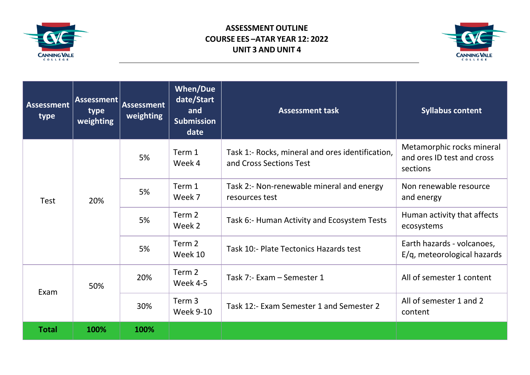

## **ASSESSMENT OUTLINE COURSE EES –ATAR YEAR 12: 2022 UNIT 3 AND UNIT 4**



| <b>Assessment</b><br>type | Assessment<br>type<br>weighting | <b>Assessment</b><br>weighting | <b>When/Due</b><br>date/Start<br>and<br><b>Submission</b><br>date | <b>Assessment task</b>                                                      | <b>Syllabus content</b>                                             |
|---------------------------|---------------------------------|--------------------------------|-------------------------------------------------------------------|-----------------------------------------------------------------------------|---------------------------------------------------------------------|
| <b>Test</b>               | 20%                             | 5%                             | Term 1<br>Week 4                                                  | Task 1:- Rocks, mineral and ores identification,<br>and Cross Sections Test | Metamorphic rocks mineral<br>and ores ID test and cross<br>sections |
|                           |                                 | 5%                             | Term 1<br>Week 7                                                  | Task 2:- Non-renewable mineral and energy<br>resources test                 | Non renewable resource<br>and energy                                |
|                           |                                 | 5%                             | Term 2<br>Week 2                                                  | Task 6:- Human Activity and Ecosystem Tests                                 | Human activity that affects<br>ecosystems                           |
|                           |                                 | 5%                             | Term 2<br>Week 10                                                 | Task 10:- Plate Tectonics Hazards test                                      | Earth hazards - volcanoes,<br>E/g, meteorological hazards           |
| Exam                      | 50%                             | 20%                            | Term 2<br>Week 4-5                                                | Task 7:- Exam - Semester 1                                                  | All of semester 1 content                                           |
|                           |                                 | 30%                            | Term 3<br><b>Week 9-10</b>                                        | Task 12:- Exam Semester 1 and Semester 2                                    | All of semester 1 and 2<br>content                                  |
| <b>Total</b>              | 100%                            | 100%                           |                                                                   |                                                                             |                                                                     |